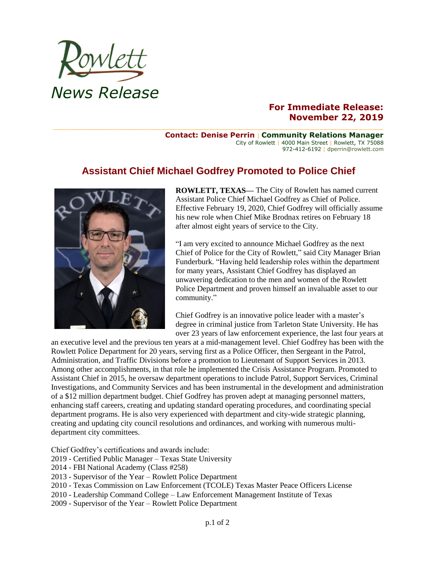

## **For Immediate Release: November 22, 2019**

**Contact: Denise Perrin** | **Community Relations Manager** City of Rowlett | 4000 Main Street | Rowlett, TX 75088 972-412-6192 | dperrin@rowlett.com

## **Assistant Chief Michael Godfrey Promoted to Police Chief**



**ROWLETT, TEXAS—** The City of Rowlett has named current Assistant Police Chief Michael Godfrey as Chief of Police. Effective February 19, 2020, Chief Godfrey will officially assume his new role when Chief Mike Brodnax retires on February 18 after almost eight years of service to the City.

"I am very excited to announce Michael Godfrey as the next Chief of Police for the City of Rowlett," said City Manager Brian Funderburk. "Having held leadership roles within the department for many years, Assistant Chief Godfrey has displayed an unwavering dedication to the men and women of the Rowlett Police Department and proven himself an invaluable asset to our community."

Chief Godfrey is an innovative police leader with a master's degree in criminal justice from Tarleton State University. He has over 23 years of law enforcement experience, the last four years at

an executive level and the previous ten years at a mid-management level. Chief Godfrey has been with the Rowlett Police Department for 20 years, serving first as a Police Officer, then Sergeant in the Patrol, Administration, and Traffic Divisions before a promotion to Lieutenant of Support Services in 2013. Among other accomplishments, in that role he implemented the Crisis Assistance Program. Promoted to Assistant Chief in 2015, he oversaw department operations to include Patrol, Support Services, Criminal Investigations, and Community Services and has been instrumental in the development and administration of a \$12 million department budget. Chief Godfrey has proven adept at managing personnel matters, enhancing staff careers, creating and updating standard operating procedures, and coordinating special department programs. He is also very experienced with department and city-wide strategic planning, creating and updating city council resolutions and ordinances, and working with numerous multidepartment city committees.

Chief Godfrey's certifications and awards include:

- 2019 Certified Public Manager Texas State University
- 2014 FBI National Academy (Class #258)
- 2013 Supervisor of the Year Rowlett Police Department
- 2010 Texas Commission on Law Enforcement (TCOLE) Texas Master Peace Officers License
- 2010 Leadership Command College Law Enforcement Management Institute of Texas
- 2009 Supervisor of the Year Rowlett Police Department